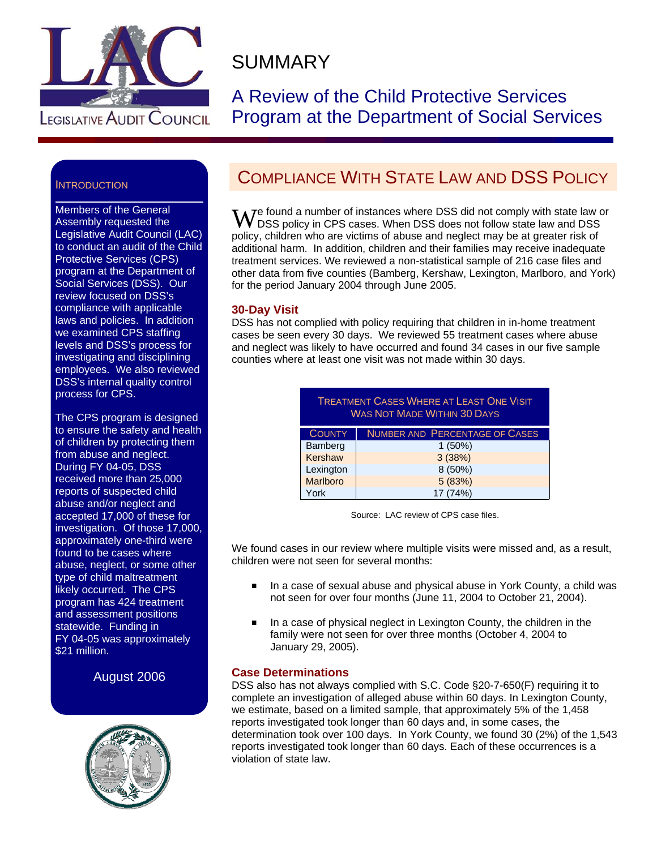

# SUMMARY

A Review of the Child Protective Services Program at the Department of Social Services

## INTRODUCTION

Members of the General Assembly requested the Legislative Audit Council (LAC) to conduct an audit of the Child Protective Services (CPS) program at the Department of Social Services (DSS). Our review focused on DSS's compliance with applicable laws and policies. In addition we examined CPS staffing levels and DSS's process for investigating and disciplining employees. We also reviewed DSS's internal quality control process for CPS.

The CPS program is designed to ensure the safety and health of children by protecting them from abuse and neglect. During FY 04-05, DSS received more than 25,000 reports of suspected child abuse and/or neglect and accepted 17,000 of these for investigation. Of those 17,000, approximately one-third were found to be cases where abuse, neglect, or some other type of child maltreatment likely occurred. The CPS program has 424 treatment and assessment positions statewide. Funding in FY 04-05 was approximately \$21 million.

August 2006



## COMPLIANCE WITH STATE LAW AND DSS POLICY

We found a number of instances where DSS did not comply with state law or<br>W DSS policy in CPS cases. When DSS does not follow state law and DSS DSS policy in CPS cases. When DSS does not follow state law and DSS policy, children who are victims of abuse and neglect may be at greater risk of additional harm. In addition, children and their families may receive inadequate treatment services. We reviewed a non-statistical sample of 216 case files and other data from five counties (Bamberg, Kershaw, Lexington, Marlboro, and York) for the period January 2004 through June 2005.

## **30-Day Visit**

DSS has not complied with policy requiring that children in in-home treatment cases be seen every 30 days. We reviewed 55 treatment cases where abuse and neglect was likely to have occurred and found 34 cases in our five sample counties where at least one visit was not made within 30 days.

| <b>TREATMENT CASES WHERE AT LEAST ONE VISIT</b><br><b>WAS NOT MADE WITHIN 30 DAYS</b> |                                       |  |  |  |
|---------------------------------------------------------------------------------------|---------------------------------------|--|--|--|
| <b>COUNTY</b>                                                                         | <b>NUMBER AND PERCENTAGE OF CASES</b> |  |  |  |
| Bamberg                                                                               | 1(50%)                                |  |  |  |
| Kershaw                                                                               | 3(38%)                                |  |  |  |
| Lexington                                                                             | 8 (50%)                               |  |  |  |
| <b>Marlboro</b>                                                                       | 5 (83%)                               |  |  |  |
| York                                                                                  | 17 (74%)                              |  |  |  |

Source: LAC review of CPS case files.

We found cases in our review where multiple visits were missed and, as a result, children were not seen for several months:

- In a case of sexual abuse and physical abuse in York County, a child was not seen for over four months (June 11, 2004 to October 21, 2004).
- In a case of physical neglect in Lexington County, the children in the family were not seen for over three months (October 4, 2004 to January 29, 2005).

## **Case Determinations**

DSS also has not always complied with S.C. Code §20-7-650(F) requiring it to complete an investigation of alleged abuse within 60 days. In Lexington County, we estimate, based on a limited sample, that approximately 5% of the 1,458 reports investigated took longer than 60 days and, in some cases, the determination took over 100 days. In York County, we found 30 (2%) of the 1,543 reports investigated took longer than 60 days. Each of these occurrences is a violation of state law.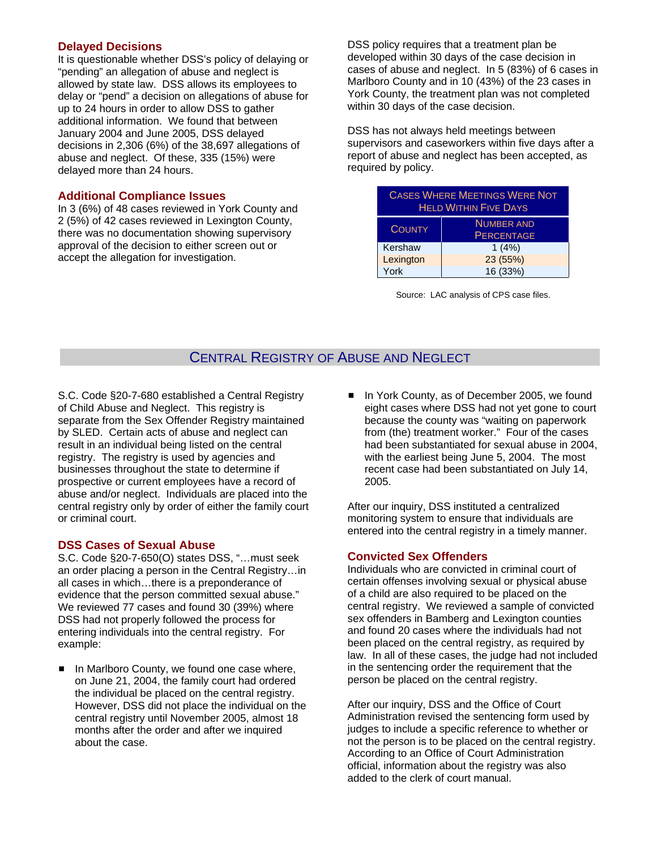## **Delayed Decisions**

It is questionable whether DSS's policy of delaying or "pending" an allegation of abuse and neglect is allowed by state law. DSS allows its employees to delay or "pend" a decision on allegations of abuse for up to 24 hours in order to allow DSS to gather additional information. We found that between January 2004 and June 2005, DSS delayed decisions in 2,306 (6%) of the 38,697 allegations of abuse and neglect. Of these, 335 (15%) were delayed more than 24 hours.

### **Additional Compliance Issues**

In 3 (6%) of 48 cases reviewed in York County and 2 (5%) of 42 cases reviewed in Lexington County, there was no documentation showing supervisory approval of the decision to either screen out or accept the allegation for investigation.

DSS policy requires that a treatment plan be developed within 30 days of the case decision in cases of abuse and neglect. In 5 (83%) of 6 cases in Marlboro County and in 10 (43%) of the 23 cases in York County, the treatment plan was not completed within 30 days of the case decision.

DSS has not always held meetings between supervisors and caseworkers within five days after a report of abuse and neglect has been accepted, as required by policy.

| <b>CASES WHERE MEETINGS WERE NOT</b><br><b>HELD WITHIN FIVE DAYS</b> |                                        |  |  |  |  |
|----------------------------------------------------------------------|----------------------------------------|--|--|--|--|
| <b>COUNTY</b>                                                        | <b>NUMBER AND</b><br><b>PERCENTAGE</b> |  |  |  |  |
| Kershaw                                                              | 1(4%)                                  |  |  |  |  |
| Lexington                                                            | 23 (55%)                               |  |  |  |  |
| York                                                                 | 16 (33%)                               |  |  |  |  |

Source: LAC analysis of CPS case files.

## CENTRAL REGISTRY OF ABUSE AND NEGLECT

S.C. Code §20-7-680 established a Central Registry of Child Abuse and Neglect. This registry is separate from the Sex Offender Registry maintained by SLED. Certain acts of abuse and neglect can result in an individual being listed on the central registry. The registry is used by agencies and businesses throughout the state to determine if prospective or current employees have a record of abuse and/or neglect. Individuals are placed into the central registry only by order of either the family court or criminal court.

## **DSS Cases of Sexual Abuse**

S.C. Code §20-7-650(O) states DSS, "…must seek an order placing a person in the Central Registry…in all cases in which…there is a preponderance of evidence that the person committed sexual abuse." We reviewed 77 cases and found 30 (39%) where DSS had not properly followed the process for entering individuals into the central registry. For example:

In Marlboro County, we found one case where, on June 21, 2004, the family court had ordered the individual be placed on the central registry. However, DSS did not place the individual on the central registry until November 2005, almost 18 months after the order and after we inquired about the case.

■ In York County, as of December 2005, we found eight cases where DSS had not yet gone to court because the county was "waiting on paperwork from (the) treatment worker." Four of the cases had been substantiated for sexual abuse in 2004, with the earliest being June 5, 2004. The most recent case had been substantiated on July 14, 2005.

After our inquiry, DSS instituted a centralized monitoring system to ensure that individuals are entered into the central registry in a timely manner.

## **Convicted Sex Offenders**

Individuals who are convicted in criminal court of certain offenses involving sexual or physical abuse of a child are also required to be placed on the central registry. We reviewed a sample of convicted sex offenders in Bamberg and Lexington counties and found 20 cases where the individuals had not been placed on the central registry, as required by law. In all of these cases, the judge had not included in the sentencing order the requirement that the person be placed on the central registry.

After our inquiry, DSS and the Office of Court Administration revised the sentencing form used by judges to include a specific reference to whether or not the person is to be placed on the central registry. According to an Office of Court Administration official, information about the registry was also added to the clerk of court manual.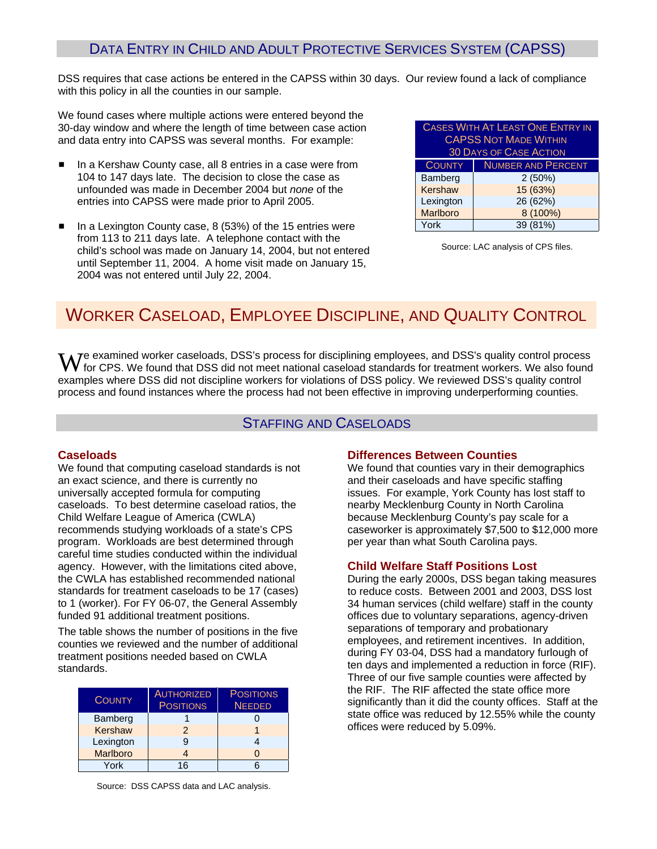## DATA ENTRY IN CHILD AND ADULT PROTECTIVE SERVICES SYSTEM (CAPSS)

DSS requires that case actions be entered in the CAPSS within 30 days. Our review found a lack of compliance with this policy in all the counties in our sample.

We found cases where multiple actions were entered beyond the 30-day window and where the length of time between case action and data entry into CAPSS was several months. For example:

- In a Kershaw County case, all 8 entries in a case were from 104 to 147 days late. The decision to close the case as unfounded was made in December 2004 but *none* of the entries into CAPSS were made prior to April 2005.
- In a Lexington County case,  $8$  (53%) of the 15 entries were from 113 to 211 days late. A telephone contact with the child's school was made on January 14, 2004, but not entered until September 11, 2004. A home visit made on January 15, 2004 was not entered until July 22, 2004.

| <b>CASES WITH AT LEAST ONE ENTRY IN</b><br><b>CAPSS NOT MADE WITHIN</b><br><b>30 DAYS OF CASE ACTION</b> |                           |  |  |  |  |
|----------------------------------------------------------------------------------------------------------|---------------------------|--|--|--|--|
| <b>COUNTY</b>                                                                                            | <b>NUMBER AND PERCENT</b> |  |  |  |  |
| Bamberg                                                                                                  | 2(50%)                    |  |  |  |  |
| Kershaw                                                                                                  | 15 (63%)                  |  |  |  |  |
| Lexington                                                                                                | 26 (62%)                  |  |  |  |  |
| Marlboro                                                                                                 | 8 (100%)                  |  |  |  |  |
| York                                                                                                     | 39 (81%)                  |  |  |  |  |

Source: LAC analysis of CPS files.

## WORKER CASELOAD, EMPLOYEE DISCIPLINE, AND QUALITY CONTROL

examples where DSS did not discipline workers for violations of DSS policy. We reviewed DSS's quality control  $\mathbf{W}$ e examined worker caseloads, DSS's process for disciplining employees, and DSS's quality control process for CPS. We found that DSS did not meet national caseload standards for treatment workers. We also found process and found instances where the process had not been effective in improving underperforming counties.

## STAFFING AND CASELOADS

## **Caseloads**

We found that computing caseload standards is not an exact science, and there is currently no universally accepted formula for computing caseloads. To best determine caseload ratios, the Child Welfare League of America (CWLA) recommends studying workloads of a state's CPS program. Workloads are best determined through careful time studies conducted within the individual agency. However, with the limitations cited above, the CWLA has established recommended national standards for treatment caseloads to be 17 (cases) to 1 (worker). For FY 06-07, the General Assembly funded 91 additional treatment positions.

The table shows the number of positions in the five counties we reviewed and the number of additional treatment positions needed based on CWLA standards.

| <b>COUNTY</b>   | <b>AUTHORIZED</b><br><b>POSITIONS</b> | <b>POSITIONS</b><br><b>NEEDED</b> |
|-----------------|---------------------------------------|-----------------------------------|
| Bamberg         |                                       |                                   |
| <b>Kershaw</b>  | $\mathcal{P}$                         |                                   |
| Lexington       | 9                                     |                                   |
| <b>Marlboro</b> | 4                                     |                                   |
| York            | 16                                    |                                   |

### **Differences Between Counties**

We found that counties vary in their demographics and their caseloads and have specific staffing issues. For example, York County has lost staff to nearby Mecklenburg County in North Carolina because Mecklenburg County's pay scale for a caseworker is approximately \$7,500 to \$12,000 more per year than what South Carolina pays.

### **Child Welfare Staff Positions Lost**

During the early 2000s, DSS began taking measures to reduce costs. Between 2001 and 2003, DSS lost 34 human services (child welfare) staff in the county offices due to voluntary separations, agency-driven separations of temporary and probationary employees, and retirement incentives. In addition, during FY 03-04, DSS had a mandatory furlough of ten days and implemented a reduction in force (RIF). Three of our five sample counties were affected by the RIF. The RIF affected the state office more significantly than it did the county offices. Staff at the state office was reduced by 12.55% while the county offices were reduced by 5.09%.

Source: DSS CAPSS data and LAC analysis.